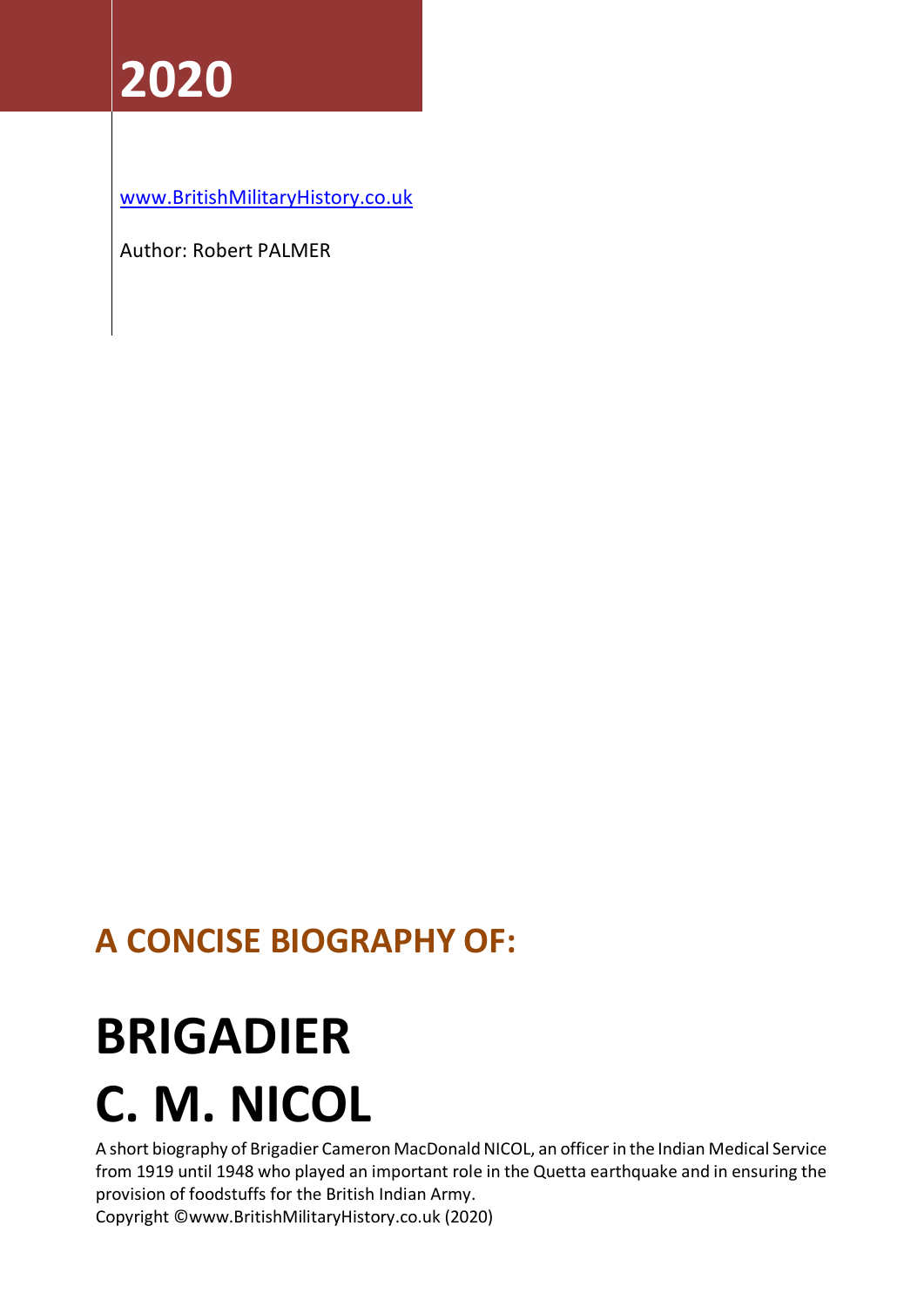[www.BritishMilitaryHistory.co.uk](http://www.britishmilitaryhistory.co.uk/)

Author: Robert PALMER

## **A CONCISE BIOGRAPHY OF:**

# **BRIGADIER**

# **C. M. NICOL**

A short biography of Brigadier Cameron MacDonald NICOL, an officer in the Indian Medical Service from 1919 until 1948 who played an important role in the Quetta earthquake and in ensuring the provision of foodstuffs for the British Indian Army.

Copyright ©www.BritishMilitaryHistory.co.uk (2020)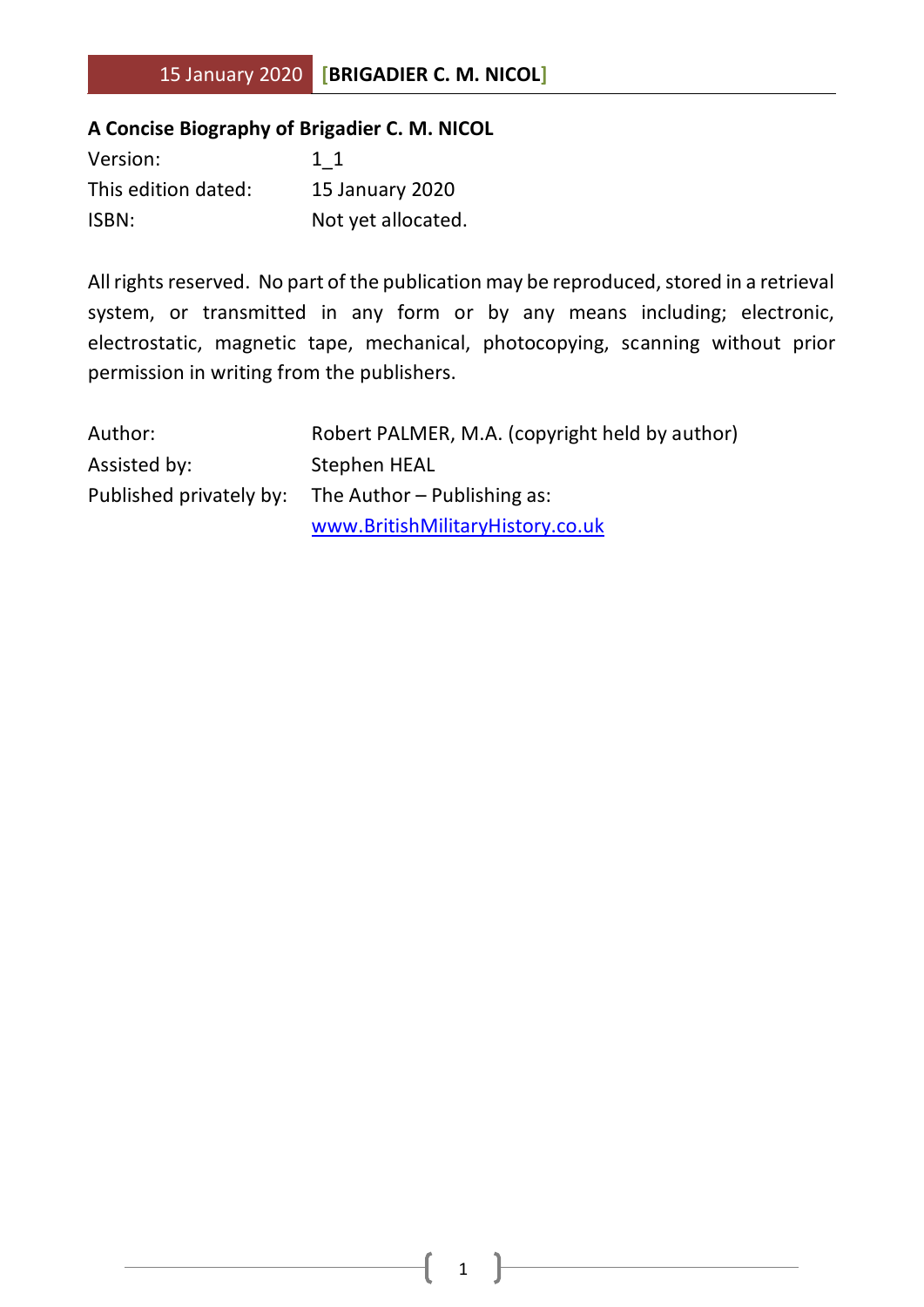#### **A Concise Biography of Brigadier C. M. NICOL**

| Version:            | 1 1                    |
|---------------------|------------------------|
| This edition dated: | <b>15 January 2020</b> |
| ISBN:               | Not yet allocated.     |

All rights reserved. No part of the publication may be reproduced, stored in a retrieval system, or transmitted in any form or by any means including; electronic, electrostatic, magnetic tape, mechanical, photocopying, scanning without prior permission in writing from the publishers.

| Author:      | Robert PALMER, M.A. (copyright held by author)      |
|--------------|-----------------------------------------------------|
| Assisted by: | Stephen HEAL                                        |
|              | Published privately by: The Author – Publishing as: |
|              | www.BritishMilitaryHistory.co.uk                    |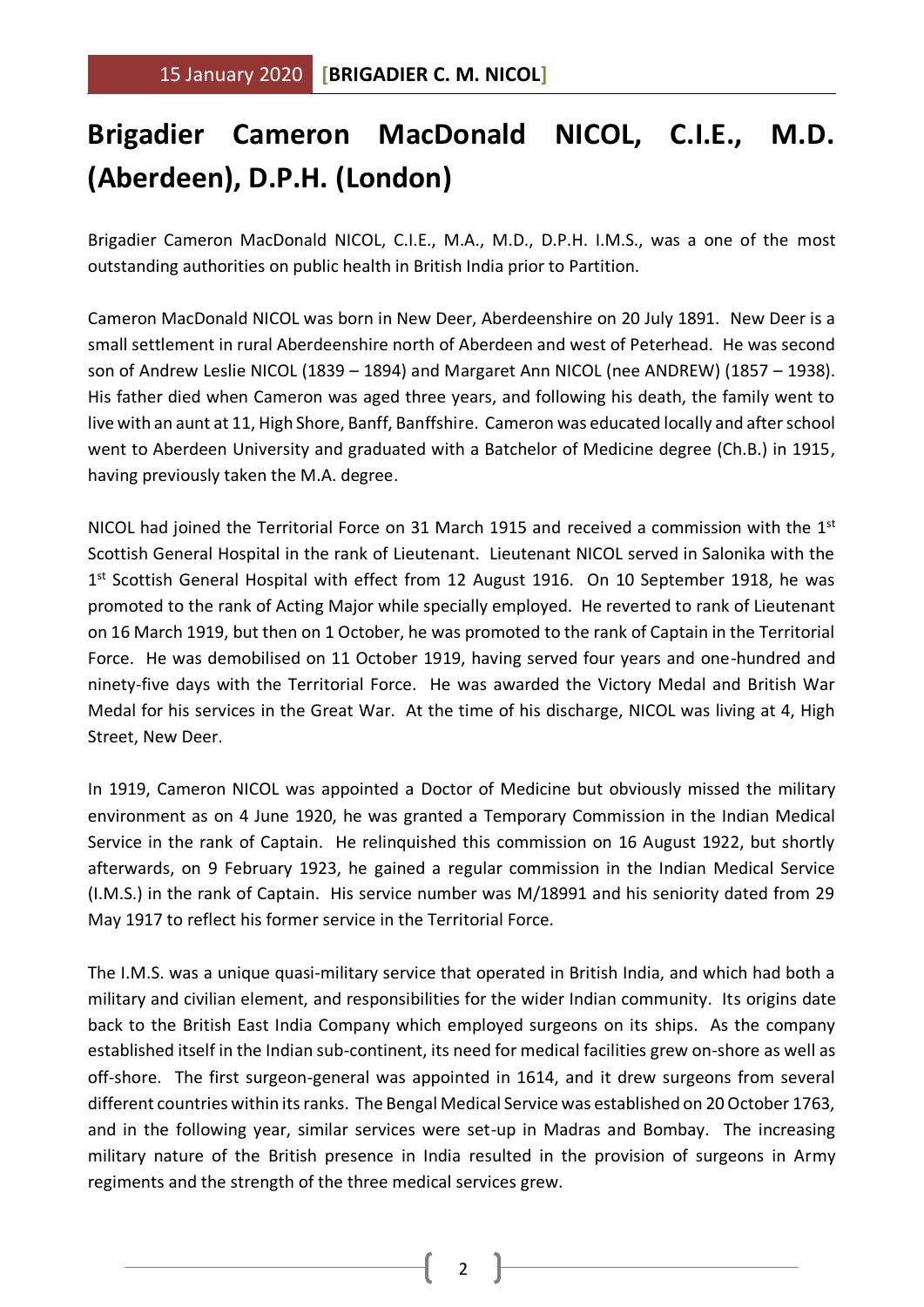### **Brigadier Cameron MacDonald NICOL, C.I.E., M.D. (Aberdeen), D.P.H. (London)**

Brigadier Cameron MacDonald NICOL, C.I.E., M.A., M.D., D.P.H. I.M.S., was a one of the most outstanding authorities on public health in British India prior to Partition.

Cameron MacDonald NICOL was born in New Deer, Aberdeenshire on 20 July 1891. New Deer is a small settlement in rural Aberdeenshire north of Aberdeen and west of Peterhead. He was second son of Andrew Leslie NICOL (1839 – 1894) and Margaret Ann NICOL (nee ANDREW) (1857 – 1938). His father died when Cameron was aged three years, and following his death, the family went to live with an aunt at 11, High Shore, Banff, Banffshire. Cameron was educated locally and after school went to Aberdeen University and graduated with a Batchelor of Medicine degree (Ch.B.) in 1915, having previously taken the M.A. degree.

NICOL had joined the Territorial Force on 31 March 1915 and received a commission with the 1<sup>st</sup> Scottish General Hospital in the rank of Lieutenant. Lieutenant NICOL served in Salonika with the 1<sup>st</sup> Scottish General Hospital with effect from 12 August 1916. On 10 September 1918, he was promoted to the rank of Acting Major while specially employed. He reverted to rank of Lieutenant on 16 March 1919, but then on 1 October, he was promoted to the rank of Captain in the Territorial Force. He was demobilised on 11 October 1919, having served four years and one-hundred and ninety-five days with the Territorial Force. He was awarded the Victory Medal and British War Medal for his services in the Great War. At the time of his discharge, NICOL was living at 4, High Street, New Deer.

In 1919, Cameron NICOL was appointed a Doctor of Medicine but obviously missed the military environment as on 4 June 1920, he was granted a Temporary Commission in the Indian Medical Service in the rank of Captain. He relinquished this commission on 16 August 1922, but shortly afterwards, on 9 February 1923, he gained a regular commission in the Indian Medical Service (I.M.S.) in the rank of Captain. His service number was M/18991 and his seniority dated from 29 May 1917 to reflect his former service in the Territorial Force.

The I.M.S. was a unique quasi-military service that operated in British India, and which had both a military and civilian element, and responsibilities for the wider Indian community. Its origins date back to the British East India Company which employed surgeons on its ships. As the company established itself in the Indian sub-continent, its need for medical facilities grew on-shore as well as off-shore. The first surgeon-general was appointed in 1614, and it drew surgeons from several different countries within its ranks. The Bengal Medical Service was established on 20 October 1763, and in the following year, similar services were set-up in Madras and Bombay. The increasing military nature of the British presence in India resulted in the provision of surgeons in Army regiments and the strength of the three medical services grew.

2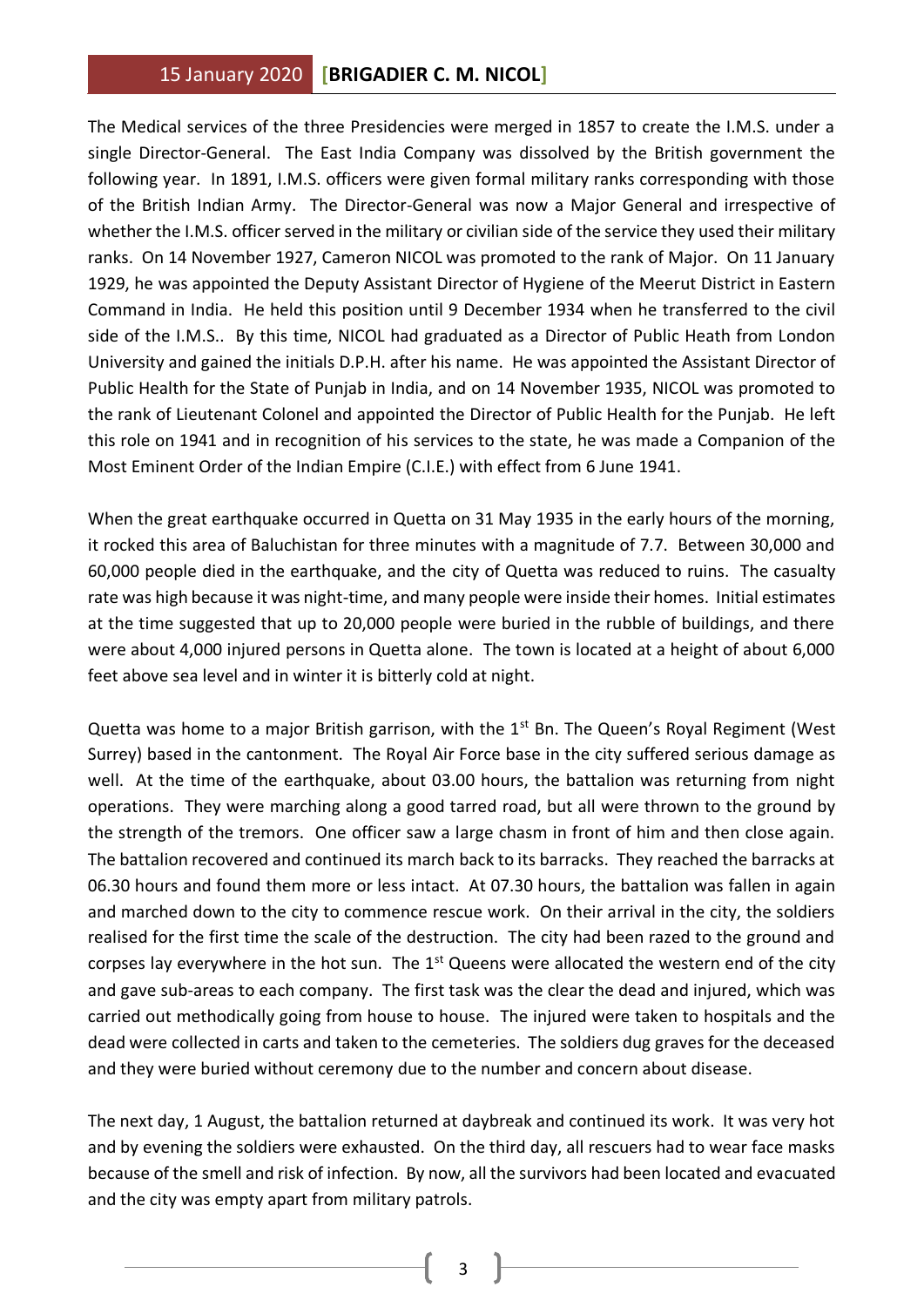The Medical services of the three Presidencies were merged in 1857 to create the I.M.S. under a single Director-General. The East India Company was dissolved by the British government the following year. In 1891, I.M.S. officers were given formal military ranks corresponding with those of the British Indian Army. The Director-General was now a Major General and irrespective of whether the I.M.S. officer served in the military or civilian side of the service they used their military ranks. On 14 November 1927, Cameron NICOL was promoted to the rank of Major. On 11 January 1929, he was appointed the Deputy Assistant Director of Hygiene of the Meerut District in Eastern Command in India. He held this position until 9 December 1934 when he transferred to the civil side of the I.M.S.. By this time, NICOL had graduated as a Director of Public Heath from London University and gained the initials D.P.H. after his name. He was appointed the Assistant Director of Public Health for the State of Punjab in India, and on 14 November 1935, NICOL was promoted to the rank of Lieutenant Colonel and appointed the Director of Public Health for the Punjab. He left this role on 1941 and in recognition of his services to the state, he was made a Companion of the Most Eminent Order of the Indian Empire (C.I.E.) with effect from 6 June 1941.

When the great earthquake occurred in Quetta on 31 May 1935 in the early hours of the morning, it rocked this area of Baluchistan for three minutes with a magnitude of 7.7. Between 30,000 and 60,000 people died in the earthquake, and the city of Quetta was reduced to ruins. The casualty rate was high because it was night-time, and many people were inside their homes. Initial estimates at the time suggested that up to 20,000 people were buried in the rubble of buildings, and there were about 4,000 injured persons in Quetta alone. The town is located at a height of about 6,000 feet above sea level and in winter it is bitterly cold at night.

Quetta was home to a major British garrison, with the 1<sup>st</sup> Bn. The Queen's Royal Regiment (West Surrey) based in the cantonment. The Royal Air Force base in the city suffered serious damage as well. At the time of the earthquake, about 03.00 hours, the battalion was returning from night operations. They were marching along a good tarred road, but all were thrown to the ground by the strength of the tremors. One officer saw a large chasm in front of him and then close again. The battalion recovered and continued its march back to its barracks. They reached the barracks at 06.30 hours and found them more or less intact. At 07.30 hours, the battalion was fallen in again and marched down to the city to commence rescue work. On their arrival in the city, the soldiers realised for the first time the scale of the destruction. The city had been razed to the ground and corpses lay everywhere in the hot sun. The  $1<sup>st</sup>$  Queens were allocated the western end of the city and gave sub-areas to each company. The first task was the clear the dead and injured, which was carried out methodically going from house to house. The injured were taken to hospitals and the dead were collected in carts and taken to the cemeteries. The soldiers dug graves for the deceased and they were buried without ceremony due to the number and concern about disease.

The next day, 1 August, the battalion returned at daybreak and continued its work. It was very hot and by evening the soldiers were exhausted. On the third day, all rescuers had to wear face masks because of the smell and risk of infection. By now, all the survivors had been located and evacuated and the city was empty apart from military patrols.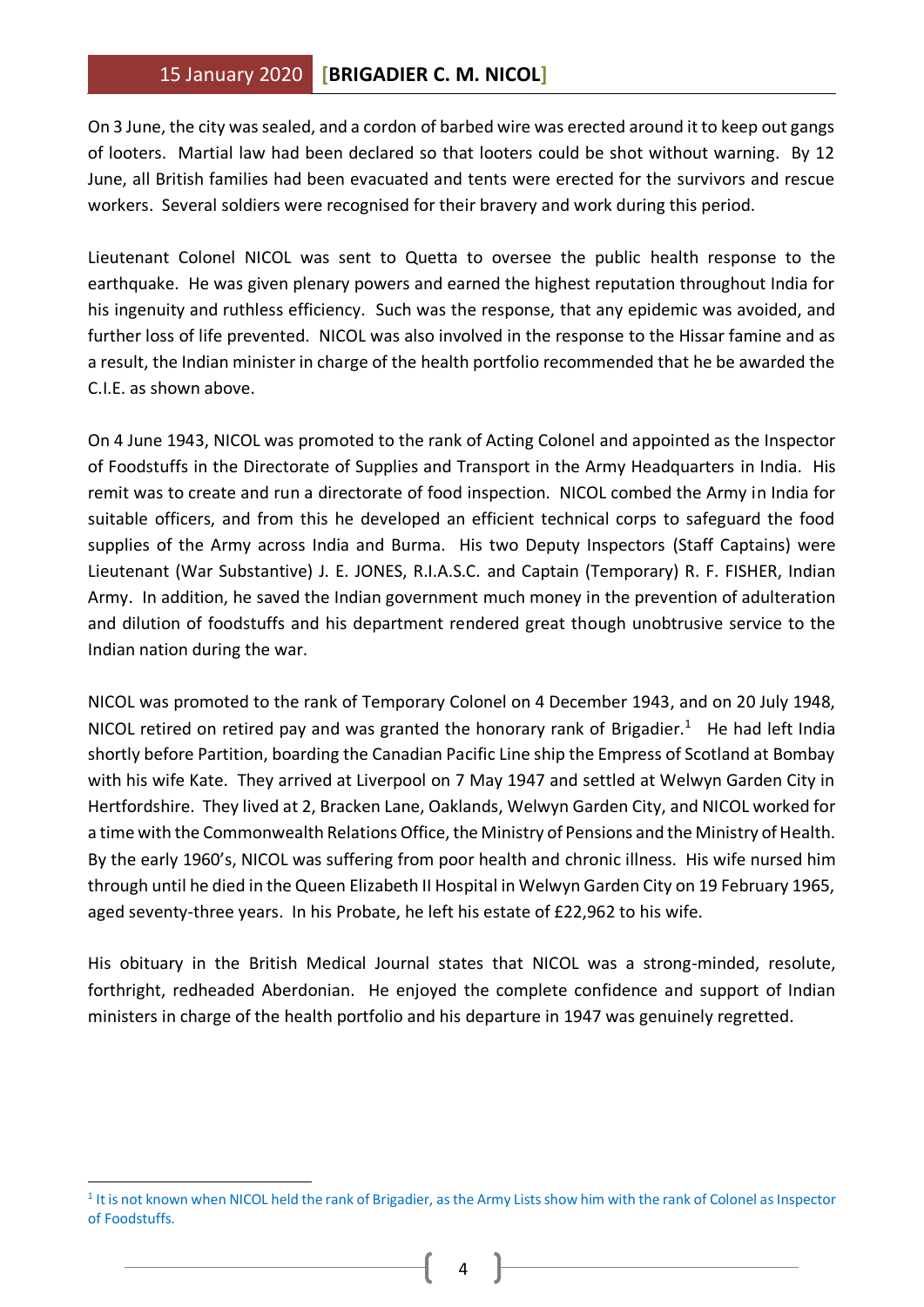#### 15 January 2020 **[BRIGADIER C. M. NICOL]**

On 3 June, the city was sealed, and a cordon of barbed wire was erected around it to keep out gangs of looters. Martial law had been declared so that looters could be shot without warning. By 12 June, all British families had been evacuated and tents were erected for the survivors and rescue workers. Several soldiers were recognised for their bravery and work during this period.

Lieutenant Colonel NICOL was sent to Quetta to oversee the public health response to the earthquake. He was given plenary powers and earned the highest reputation throughout India for his ingenuity and ruthless efficiency. Such was the response, that any epidemic was avoided, and further loss of life prevented. NICOL was also involved in the response to the Hissar famine and as a result, the Indian minister in charge of the health portfolio recommended that he be awarded the C.I.E. as shown above.

On 4 June 1943, NICOL was promoted to the rank of Acting Colonel and appointed as the Inspector of Foodstuffs in the Directorate of Supplies and Transport in the Army Headquarters in India. His remit was to create and run a directorate of food inspection. NICOL combed the Army in India for suitable officers, and from this he developed an efficient technical corps to safeguard the food supplies of the Army across India and Burma. His two Deputy Inspectors (Staff Captains) were Lieutenant (War Substantive) J. E. JONES, R.I.A.S.C. and Captain (Temporary) R. F. FISHER, Indian Army. In addition, he saved the Indian government much money in the prevention of adulteration and dilution of foodstuffs and his department rendered great though unobtrusive service to the Indian nation during the war.

NICOL was promoted to the rank of Temporary Colonel on 4 December 1943, and on 20 July 1948, NICOL retired on retired pay and was granted the honorary rank of Brigadier.<sup>1</sup> He had left India shortly before Partition, boarding the Canadian Pacific Line ship the Empress of Scotland at Bombay with his wife Kate. They arrived at Liverpool on 7 May 1947 and settled at Welwyn Garden City in Hertfordshire. They lived at 2, Bracken Lane, Oaklands, Welwyn Garden City, and NICOL worked for a time with the Commonwealth Relations Office, the Ministry of Pensions and the Ministry of Health. By the early 1960's, NICOL was suffering from poor health and chronic illness. His wife nursed him through until he died in the Queen Elizabeth II Hospital in Welwyn Garden City on 19 February 1965, aged seventy-three years. In his Probate, he left his estate of £22,962 to his wife.

His obituary in the British Medical Journal states that NICOL was a strong-minded, resolute, forthright, redheaded Aberdonian. He enjoyed the complete confidence and support of Indian ministers in charge of the health portfolio and his departure in 1947 was genuinely regretted.

<sup>&</sup>lt;sup>1</sup> It is not known when NICOL held the rank of Brigadier, as the Army Lists show him with the rank of Colonel as Inspector of Foodstuffs.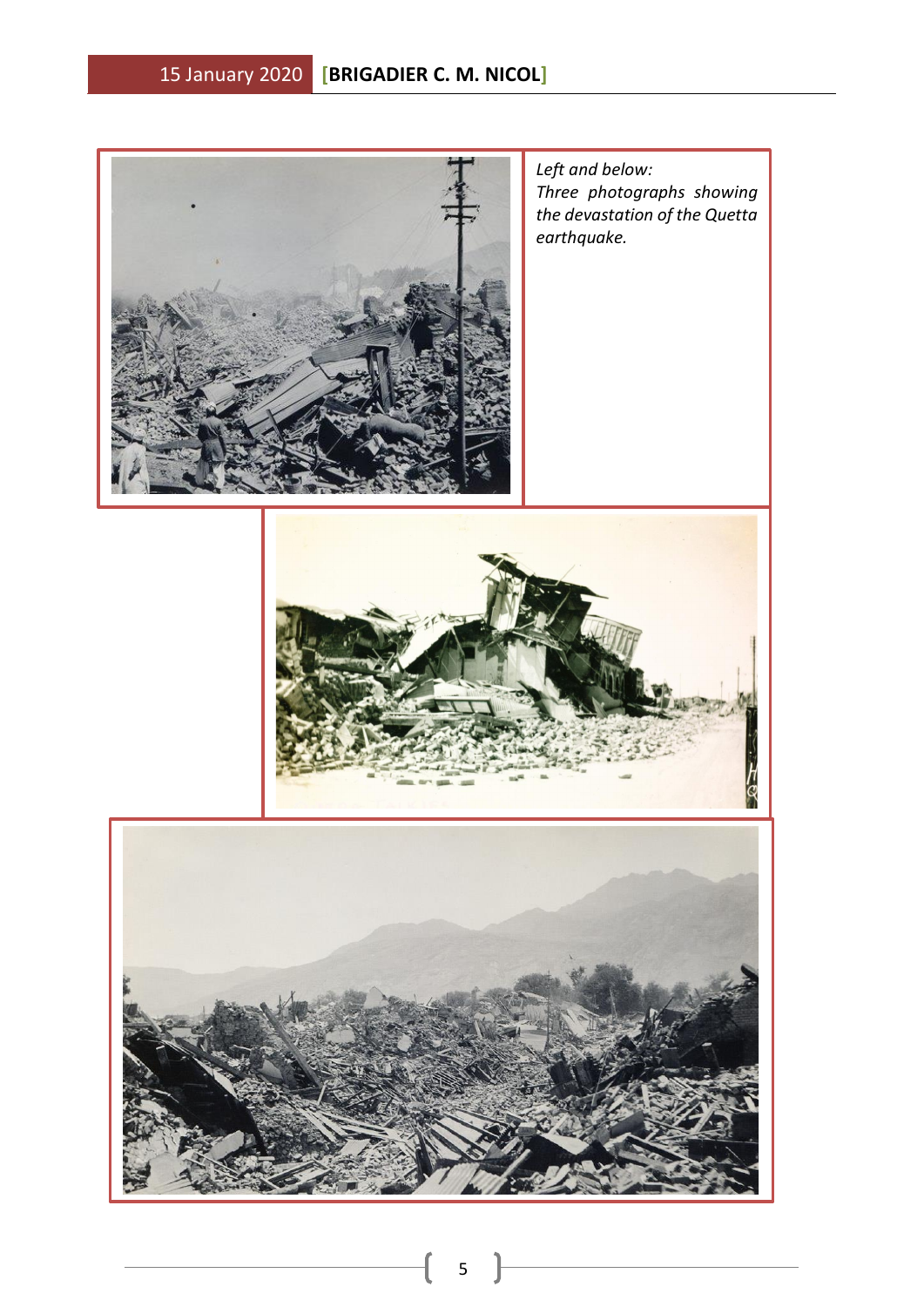

*Left and below: Three photographs showing the devastation of the Quetta earthquake.*